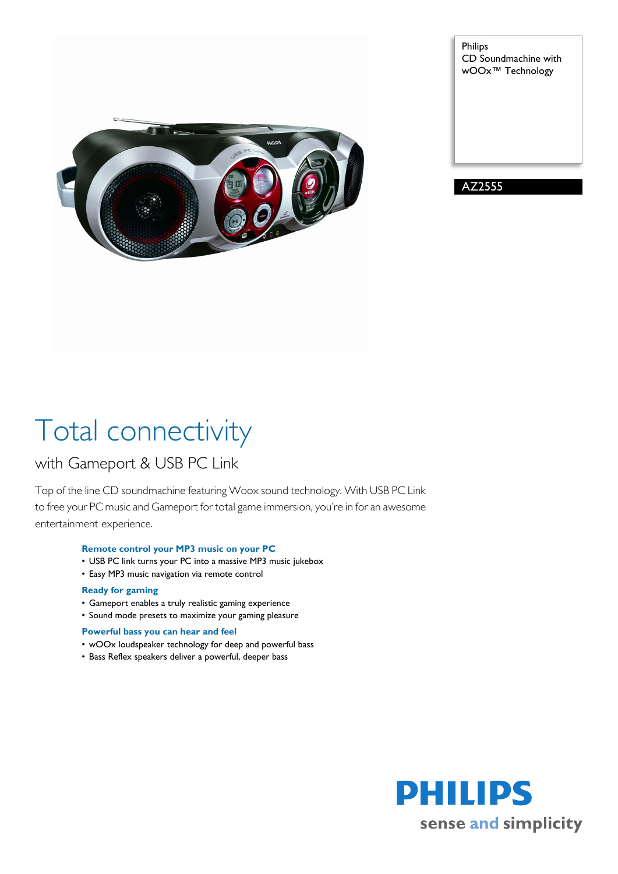

Philips CD Soundmachine with wOOx™ Technology

AZ2555

# Total connectivity

### with Gameport & USB PC Link

Top of the line CD soundmachine featuring Woox sound technology. With USB PC Link to free your PC music and Gameport for total game immersion, you're in for an awesome entertainment experience.

### **Remote control your MP3 music on your PC**

- USB PC link turns your PC into a massive MP3 music jukebox
- Easy MP3 music navigation via remote control

### **Ready for gaming**

- Gameport enables a truly realistic gaming experience
- Sound mode presets to maximize your gaming pleasure

#### **Powerful bass you can hear and feel**

- wOOx loudspeaker technology for deep and powerful bass
- Bass Reflex speakers deliver a powerful, deeper bass